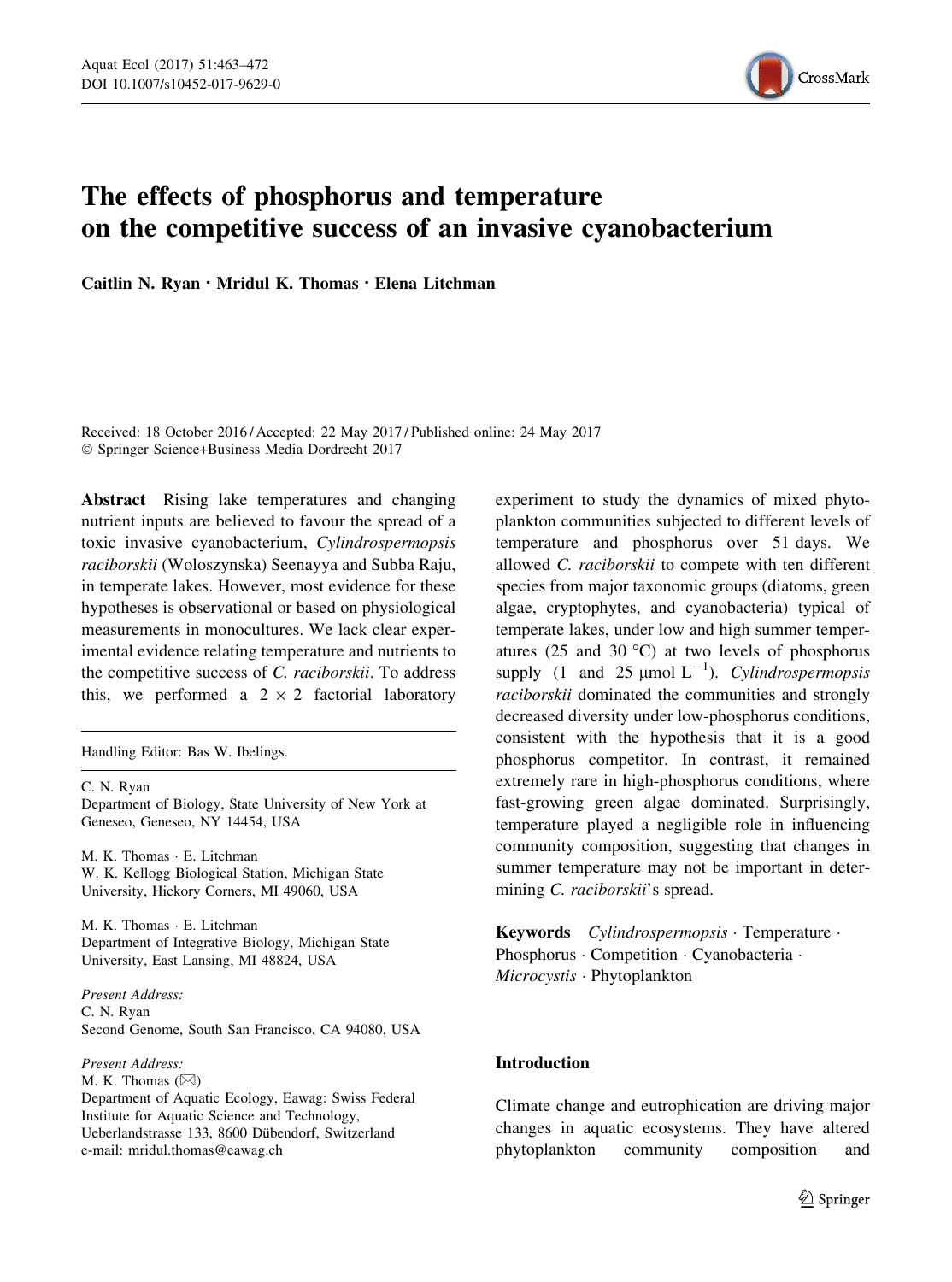

# The effects of phosphorus and temperature on the competitive success of an invasive cyanobacterium

Caitlin N. Ryan · Mridul K. Thomas · Elena Litchman

Received: 18 October 2016 / Accepted: 22 May 2017 / Published online: 24 May 2017 - Springer Science+Business Media Dordrecht 2017

Abstract Rising lake temperatures and changing nutrient inputs are believed to favour the spread of a toxic invasive cyanobacterium, Cylindrospermopsis raciborskii (Woloszynska) Seenayya and Subba Raju, in temperate lakes. However, most evidence for these hypotheses is observational or based on physiological measurements in monocultures. We lack clear experimental evidence relating temperature and nutrients to the competitive success of C. raciborskii. To address this, we performed a  $2 \times 2$  factorial laboratory

Handling Editor: Bas W. Ibelings.

C. N. Ryan

Department of Biology, State University of New York at Geneseo, Geneseo, NY 14454, USA

M. K. Thomas - E. Litchman W. K. Kellogg Biological Station, Michigan State University, Hickory Corners, MI 49060, USA

M. K. Thomas - E. Litchman Department of Integrative Biology, Michigan State University, East Lansing, MI 48824, USA

Present Address: C. N. Ryan Second Genome, South San Francisco, CA 94080, USA

Present Address: M. K. Thomas  $(\boxtimes)$ Department of Aquatic Ecology, Eawag: Swiss Federal Institute for Aquatic Science and Technology, Ueberlandstrasse 133, 8600 Dübendorf, Switzerland e-mail: mridul.thomas@eawag.ch

experiment to study the dynamics of mixed phytoplankton communities subjected to different levels of temperature and phosphorus over 51 days. We allowed C. raciborskii to compete with ten different species from major taxonomic groups (diatoms, green algae, cryptophytes, and cyanobacteria) typical of temperate lakes, under low and high summer temperatures (25 and 30  $^{\circ}$ C) at two levels of phosphorus supply (1 and 25  $\mu$ mol L<sup>-1</sup>). Cylindrospermopsis raciborskii dominated the communities and strongly decreased diversity under low-phosphorus conditions, consistent with the hypothesis that it is a good phosphorus competitor. In contrast, it remained extremely rare in high-phosphorus conditions, where fast-growing green algae dominated. Surprisingly, temperature played a negligible role in influencing community composition, suggesting that changes in summer temperature may not be important in determining *C. raciborskii's* spread.

Keywords Cylindrospermopsis · Temperature · Phosphorus · Competition · Cyanobacteria · Microcystis · Phytoplankton

# Introduction

Climate change and eutrophication are driving major changes in aquatic ecosystems. They have altered phytoplankton community composition and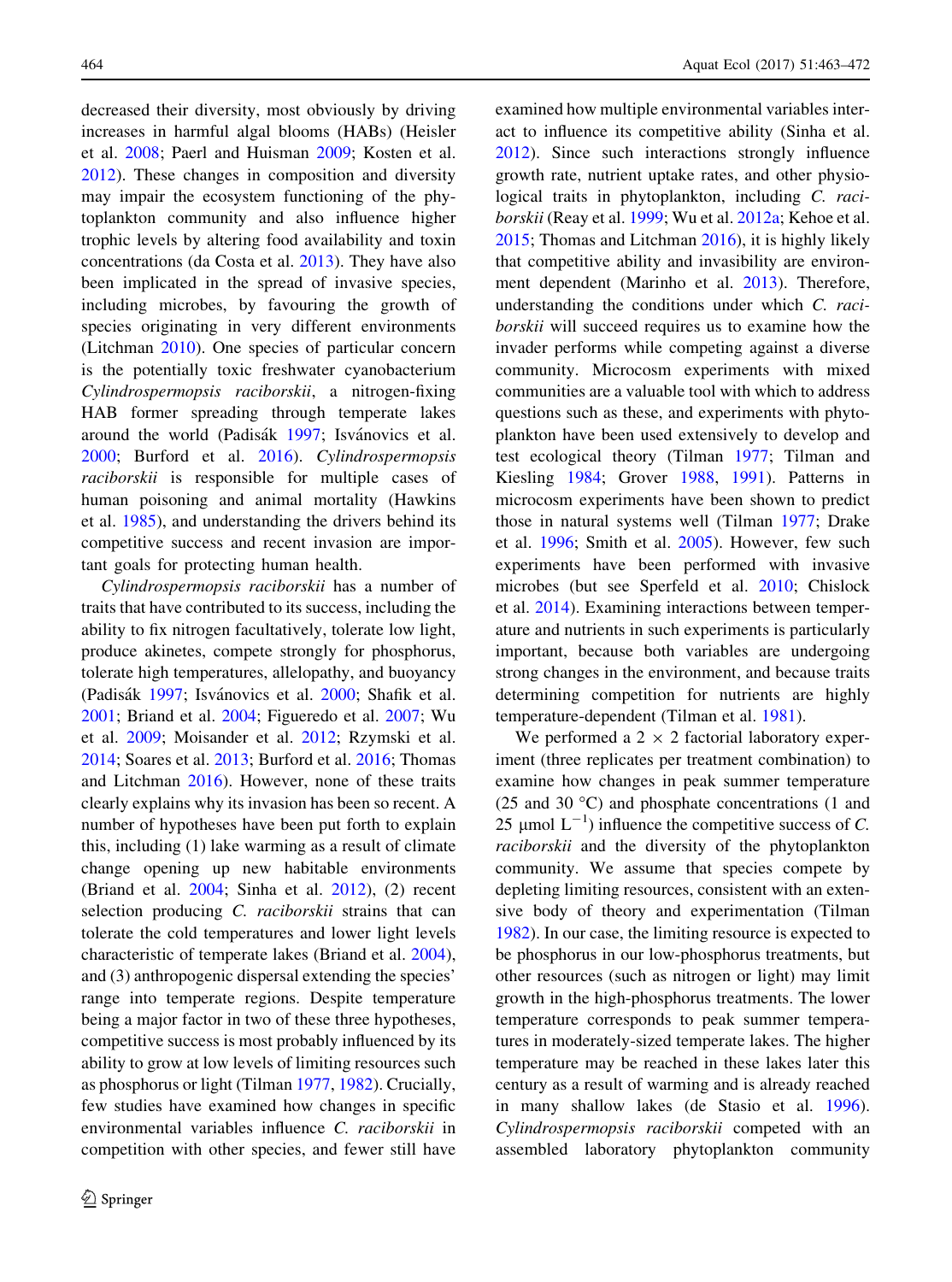decreased their diversity, most obviously by driving increases in harmful algal blooms (HABs) (Heisler et al. [2008;](#page-8-0) Paerl and Huisman [2009;](#page-8-0) Kosten et al. [2012\)](#page-8-0). These changes in composition and diversity may impair the ecosystem functioning of the phytoplankton community and also influence higher trophic levels by altering food availability and toxin concentrations (da Costa et al. [2013](#page-8-0)). They have also been implicated in the spread of invasive species, including microbes, by favouring the growth of species originating in very different environments (Litchman [2010](#page-8-0)). One species of particular concern is the potentially toxic freshwater cyanobacterium Cylindrospermopsis raciborskii, a nitrogen-fixing HAB former spreading through temperate lakes around the world (Padisák [1997;](#page-8-0) Isvánovics et al. [2000;](#page-8-0) Burford et al. [2016](#page-8-0)). Cylindrospermopsis raciborskii is responsible for multiple cases of human poisoning and animal mortality (Hawkins et al. [1985\)](#page-8-0), and understanding the drivers behind its competitive success and recent invasion are important goals for protecting human health.

Cylindrospermopsis raciborskii has a number of traits that have contributed to its success, including the ability to fix nitrogen facultatively, tolerate low light, produce akinetes, compete strongly for phosphorus, tolerate high temperatures, allelopathy, and buoyancy (Padisák [1997](#page-8-0); Isvánovics et al. [2000](#page-8-0); Shafik et al. [2001;](#page-8-0) Briand et al. [2004](#page-8-0); Figueredo et al. [2007;](#page-8-0) Wu et al. [2009;](#page-9-0) Moisander et al. [2012](#page-8-0); Rzymski et al. [2014;](#page-8-0) Soares et al. [2013](#page-8-0); Burford et al. [2016;](#page-8-0) Thomas and Litchman [2016](#page-9-0)). However, none of these traits clearly explains why its invasion has been so recent. A number of hypotheses have been put forth to explain this, including (1) lake warming as a result of climate change opening up new habitable environments (Briand et al. [2004;](#page-8-0) Sinha et al. [2012\)](#page-8-0), (2) recent selection producing C. raciborskii strains that can tolerate the cold temperatures and lower light levels characteristic of temperate lakes (Briand et al. [2004](#page-8-0)), and (3) anthropogenic dispersal extending the species' range into temperate regions. Despite temperature being a major factor in two of these three hypotheses, competitive success is most probably influenced by its ability to grow at low levels of limiting resources such as phosphorus or light (Tilman [1977](#page-9-0), [1982\)](#page-9-0). Crucially, few studies have examined how changes in specific environmental variables influence C. raciborskii in competition with other species, and fewer still have

examined how multiple environmental variables interact to influence its competitive ability (Sinha et al. [2012\)](#page-8-0). Since such interactions strongly influence growth rate, nutrient uptake rates, and other physiological traits in phytoplankton, including C. raciborskii (Reay et al. [1999;](#page-8-0) Wu et al. [2012a](#page-9-0); Kehoe et al. [2015;](#page-8-0) Thomas and Litchman [2016](#page-9-0)), it is highly likely that competitive ability and invasibility are environment dependent (Marinho et al. [2013](#page-8-0)). Therefore, understanding the conditions under which C. raciborskii will succeed requires us to examine how the invader performs while competing against a diverse community. Microcosm experiments with mixed communities are a valuable tool with which to address questions such as these, and experiments with phytoplankton have been used extensively to develop and test ecological theory (Tilman [1977](#page-9-0); Tilman and Kiesling [1984;](#page-9-0) Grover [1988,](#page-8-0) [1991](#page-8-0)). Patterns in microcosm experiments have been shown to predict those in natural systems well (Tilman [1977;](#page-9-0) Drake et al. [1996](#page-8-0); Smith et al. [2005\)](#page-8-0). However, few such experiments have been performed with invasive microbes (but see Sperfeld et al. [2010](#page-8-0); Chislock et al. [2014\)](#page-8-0). Examining interactions between temperature and nutrients in such experiments is particularly important, because both variables are undergoing strong changes in the environment, and because traits determining competition for nutrients are highly temperature-dependent (Tilman et al. [1981\)](#page-9-0).

We performed a  $2 \times 2$  factorial laboratory experiment (three replicates per treatment combination) to examine how changes in peak summer temperature (25 and 30  $^{\circ}$ C) and phosphate concentrations (1 and 25 µmol  $L^{-1}$ ) influence the competitive success of C. raciborskii and the diversity of the phytoplankton community. We assume that species compete by depleting limiting resources, consistent with an extensive body of theory and experimentation (Tilman [1982\)](#page-9-0). In our case, the limiting resource is expected to be phosphorus in our low-phosphorus treatments, but other resources (such as nitrogen or light) may limit growth in the high-phosphorus treatments. The lower temperature corresponds to peak summer temperatures in moderately-sized temperate lakes. The higher temperature may be reached in these lakes later this century as a result of warming and is already reached in many shallow lakes (de Stasio et al. [1996](#page-8-0)). Cylindrospermopsis raciborskii competed with an assembled laboratory phytoplankton community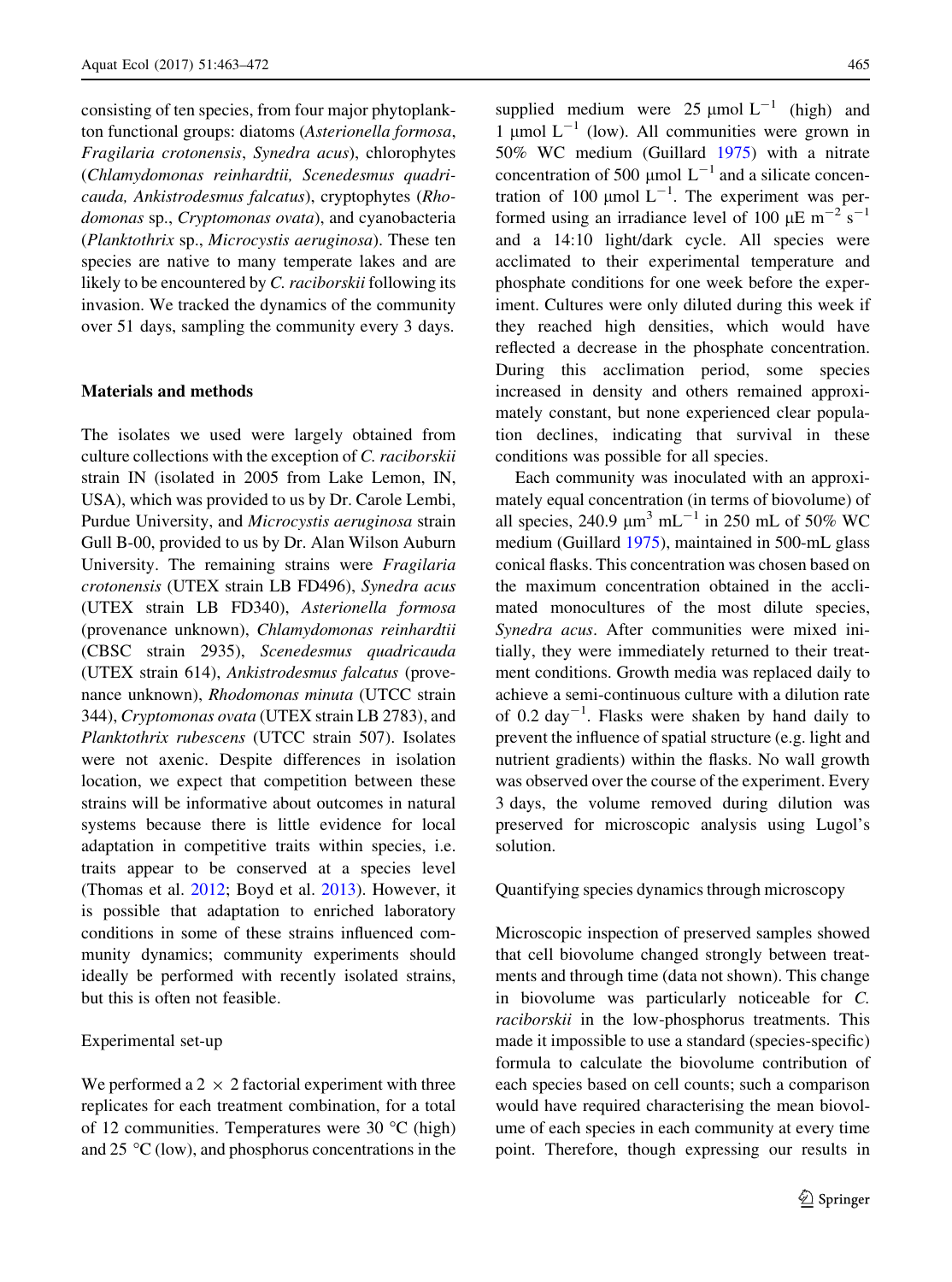consisting of ten species, from four major phytoplankton functional groups: diatoms (Asterionella formosa, Fragilaria crotonensis, Synedra acus), chlorophytes (Chlamydomonas reinhardtii, Scenedesmus quadricauda, Ankistrodesmus falcatus), cryptophytes (Rhodomonas sp., Cryptomonas ovata), and cyanobacteria (Planktothrix sp., Microcystis aeruginosa). These ten species are native to many temperate lakes and are likely to be encountered by C. raciborskii following its invasion. We tracked the dynamics of the community over 51 days, sampling the community every 3 days.

# Materials and methods

The isolates we used were largely obtained from culture collections with the exception of C. raciborskii strain IN (isolated in 2005 from Lake Lemon, IN, USA), which was provided to us by Dr. Carole Lembi, Purdue University, and Microcystis aeruginosa strain Gull B-00, provided to us by Dr. Alan Wilson Auburn University. The remaining strains were Fragilaria crotonensis (UTEX strain LB FD496), Synedra acus (UTEX strain LB FD340), Asterionella formosa (provenance unknown), Chlamydomonas reinhardtii (CBSC strain 2935), Scenedesmus quadricauda (UTEX strain 614), Ankistrodesmus falcatus (provenance unknown), Rhodomonas minuta (UTCC strain 344), Cryptomonas ovata (UTEX strain LB 2783), and Planktothrix rubescens (UTCC strain 507). Isolates were not axenic. Despite differences in isolation location, we expect that competition between these strains will be informative about outcomes in natural systems because there is little evidence for local adaptation in competitive traits within species, i.e. traits appear to be conserved at a species level (Thomas et al. [2012;](#page-9-0) Boyd et al. [2013\)](#page-7-0). However, it is possible that adaptation to enriched laboratory conditions in some of these strains influenced community dynamics; community experiments should ideally be performed with recently isolated strains, but this is often not feasible.

## Experimental set-up

We performed a  $2 \times 2$  factorial experiment with three replicates for each treatment combination, for a total of 12 communities. Temperatures were  $30^{\circ}$ C (high) and 25  $\degree$ C (low), and phosphorus concentrations in the supplied medium were 25  $\mu$ mol L<sup>-1</sup> (high) and 1 µmol  $L^{-1}$  (low). All communities were grown in 50% WC medium (Guillard [1975\)](#page-8-0) with a nitrate concentration of 500  $\mu$ mol L<sup>-1</sup> and a silicate concentration of 100  $\mu$ mol L<sup>-1</sup>. The experiment was performed using an irradiance level of 100  $\mu$ E m<sup>-2</sup> s<sup>-1</sup> and a 14:10 light/dark cycle. All species were acclimated to their experimental temperature and phosphate conditions for one week before the experiment. Cultures were only diluted during this week if they reached high densities, which would have reflected a decrease in the phosphate concentration. During this acclimation period, some species increased in density and others remained approximately constant, but none experienced clear population declines, indicating that survival in these conditions was possible for all species.

Each community was inoculated with an approximately equal concentration (in terms of biovolume) of all species, 240.9  $\mu$ m<sup>3</sup> mL<sup>-1</sup> in 250 mL of 50% WC medium (Guillard [1975\)](#page-8-0), maintained in 500-mL glass conical flasks. This concentration was chosen based on the maximum concentration obtained in the acclimated monocultures of the most dilute species, Synedra acus. After communities were mixed initially, they were immediately returned to their treatment conditions. Growth media was replaced daily to achieve a semi-continuous culture with a dilution rate of 0.2 day<sup>-1</sup>. Flasks were shaken by hand daily to prevent the influence of spatial structure (e.g. light and nutrient gradients) within the flasks. No wall growth was observed over the course of the experiment. Every 3 days, the volume removed during dilution was preserved for microscopic analysis using Lugol's solution.

#### Quantifying species dynamics through microscopy

Microscopic inspection of preserved samples showed that cell biovolume changed strongly between treatments and through time (data not shown). This change in biovolume was particularly noticeable for C. raciborskii in the low-phosphorus treatments. This made it impossible to use a standard (species-specific) formula to calculate the biovolume contribution of each species based on cell counts; such a comparison would have required characterising the mean biovolume of each species in each community at every time point. Therefore, though expressing our results in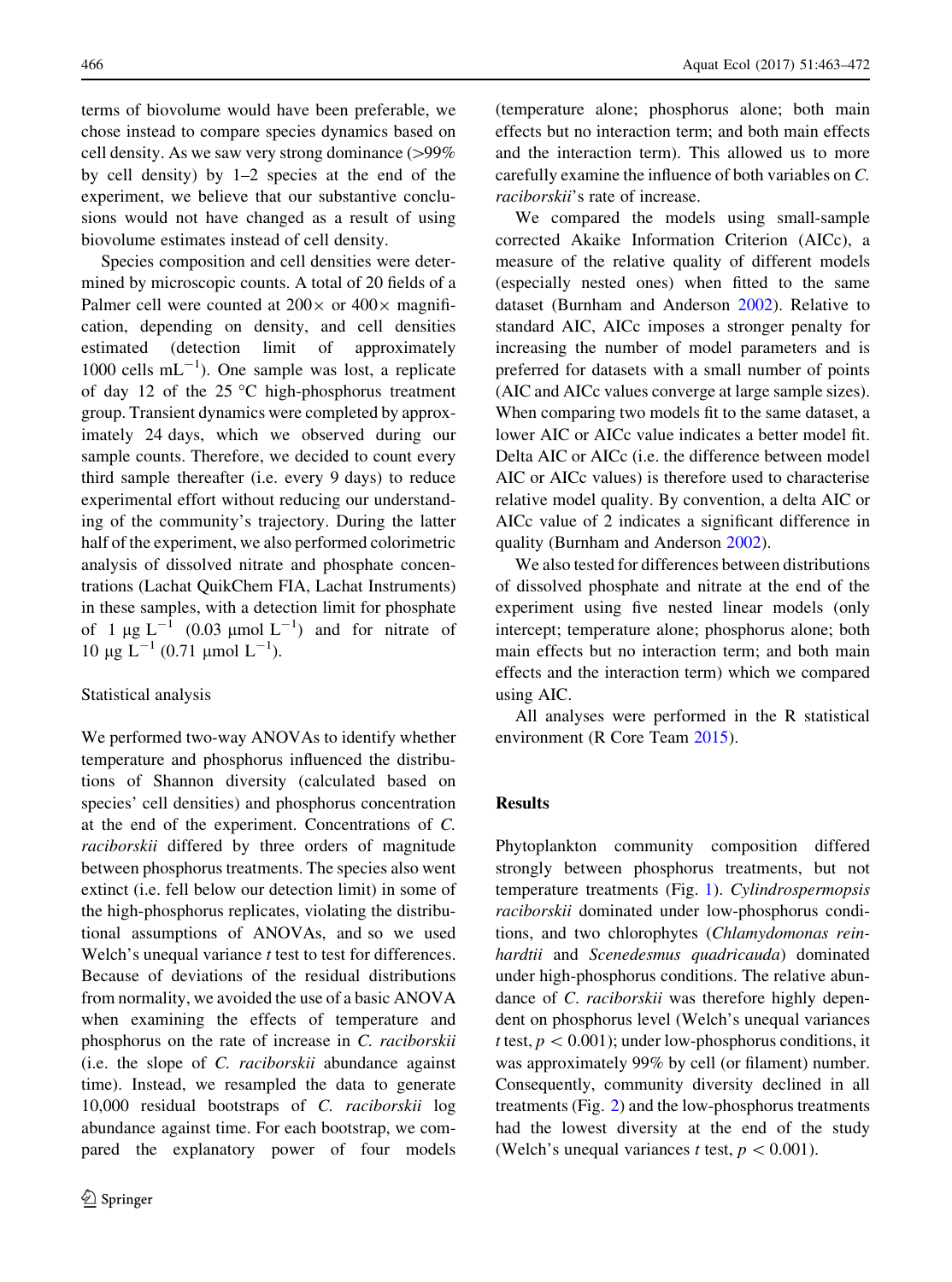terms of biovolume would have been preferable, we chose instead to compare species dynamics based on cell density. As we saw very strong dominance  $(>\!\!>\!\!99\!\%$ by cell density) by 1–2 species at the end of the experiment, we believe that our substantive conclusions would not have changed as a result of using biovolume estimates instead of cell density.

Species composition and cell densities were determined by microscopic counts. A total of 20 fields of a Palmer cell were counted at  $200 \times$  or  $400 \times$  magnification, depending on density, and cell densities estimated (detection limit of approximately 1000 cells  $mL^{-1}$ ). One sample was lost, a replicate of day 12 of the 25  $\degree$ C high-phosphorus treatment group. Transient dynamics were completed by approximately 24 days, which we observed during our sample counts. Therefore, we decided to count every third sample thereafter (i.e. every 9 days) to reduce experimental effort without reducing our understanding of the community's trajectory. During the latter half of the experiment, we also performed colorimetric analysis of dissolved nitrate and phosphate concentrations (Lachat QuikChem FIA, Lachat Instruments) in these samples, with a detection limit for phosphate of 1  $\mu$ g L<sup>-1</sup> (0.03  $\mu$ mol L<sup>-1</sup>) and for nitrate of 10 μg L<sup>-1</sup> (0.71 μmol L<sup>-1</sup>).

#### Statistical analysis

We performed two-way ANOVAs to identify whether temperature and phosphorus influenced the distributions of Shannon diversity (calculated based on species' cell densities) and phosphorus concentration at the end of the experiment. Concentrations of C. raciborskii differed by three orders of magnitude between phosphorus treatments. The species also went extinct (i.e. fell below our detection limit) in some of the high-phosphorus replicates, violating the distributional assumptions of ANOVAs, and so we used Welch's unequal variance  $t$  test to test for differences. Because of deviations of the residual distributions from normality, we avoided the use of a basic ANOVA when examining the effects of temperature and phosphorus on the rate of increase in C. raciborskii (i.e. the slope of C. raciborskii abundance against time). Instead, we resampled the data to generate 10,000 residual bootstraps of C. raciborskii log abundance against time. For each bootstrap, we compared the explanatory power of four models (temperature alone; phosphorus alone; both main effects but no interaction term; and both main effects and the interaction term). This allowed us to more carefully examine the influence of both variables on C. raciborskii's rate of increase.

We compared the models using small-sample corrected Akaike Information Criterion (AICc), a measure of the relative quality of different models (especially nested ones) when fitted to the same dataset (Burnham and Anderson [2002](#page-8-0)). Relative to standard AIC, AICc imposes a stronger penalty for increasing the number of model parameters and is preferred for datasets with a small number of points (AIC and AICc values converge at large sample sizes). When comparing two models fit to the same dataset, a lower AIC or AICc value indicates a better model fit. Delta AIC or AICc (i.e. the difference between model AIC or AICc values) is therefore used to characterise relative model quality. By convention, a delta AIC or AICc value of 2 indicates a significant difference in quality (Burnham and Anderson [2002\)](#page-8-0).

We also tested for differences between distributions of dissolved phosphate and nitrate at the end of the experiment using five nested linear models (only intercept; temperature alone; phosphorus alone; both main effects but no interaction term; and both main effects and the interaction term) which we compared using AIC.

All analyses were performed in the R statistical environment (R Core Team [2015\)](#page-8-0).

## Results

Phytoplankton community composition differed strongly between phosphorus treatments, but not temperature treatments (Fig. [1](#page-4-0)). Cylindrospermopsis raciborskii dominated under low-phosphorus conditions, and two chlorophytes (Chlamydomonas reinhardtii and Scenedesmus quadricauda) dominated under high-phosphorus conditions. The relative abundance of C. raciborskii was therefore highly dependent on phosphorus level (Welch's unequal variances t test,  $p < 0.001$ ); under low-phosphorus conditions, it was approximately 99% by cell (or filament) number. Consequently, community diversity declined in all treatments (Fig. [2](#page-4-0)) and the low-phosphorus treatments had the lowest diversity at the end of the study (Welch's unequal variances t test,  $p < 0.001$ ).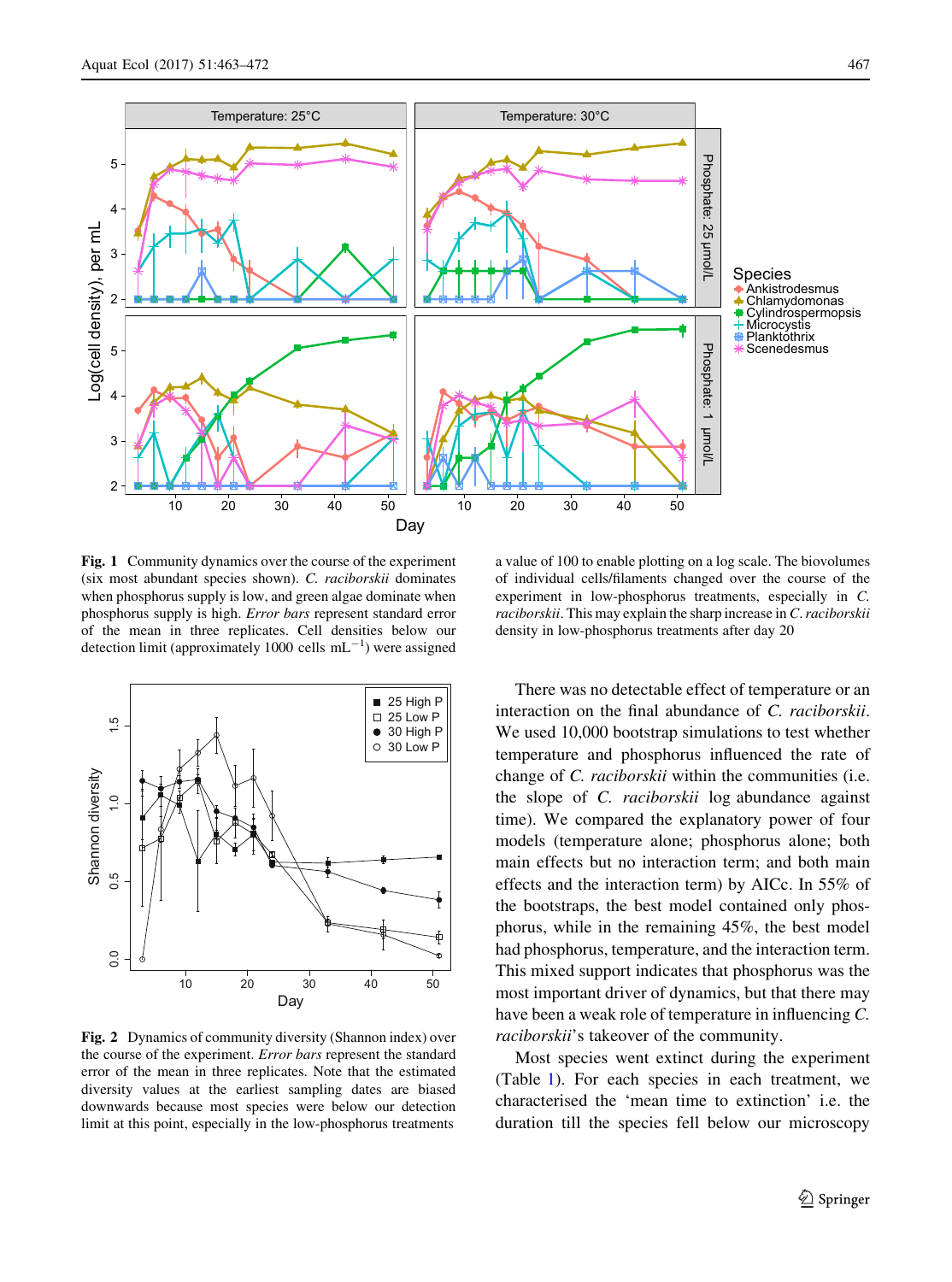<span id="page-4-0"></span>

Fig. 1 Community dynamics over the course of the experiment (six most abundant species shown). C. raciborskii dominates when phosphorus supply is low, and green algae dominate when phosphorus supply is high. Error bars represent standard error of the mean in three replicates. Cell densities below our detection limit (approximately 1000 cells  $mL^{-1}$ ) were assigned



Fig. 2 Dynamics of community diversity (Shannon index) over the course of the experiment. Error bars represent the standard error of the mean in three replicates. Note that the estimated diversity values at the earliest sampling dates are biased downwards because most species were below our detection limit at this point, especially in the low-phosphorus treatments

a value of 100 to enable plotting on a log scale. The biovolumes of individual cells/filaments changed over the course of the experiment in low-phosphorus treatments, especially in C. raciborskii. This may explain the sharp increase in C.raciborskii density in low-phosphorus treatments after day 20

There was no detectable effect of temperature or an interaction on the final abundance of C. raciborskii. We used 10,000 bootstrap simulations to test whether temperature and phosphorus influenced the rate of change of C. raciborskii within the communities (i.e. the slope of C. raciborskii log abundance against time). We compared the explanatory power of four models (temperature alone; phosphorus alone; both main effects but no interaction term; and both main effects and the interaction term) by AICc. In 55% of the bootstraps, the best model contained only phosphorus, while in the remaining 45%, the best model had phosphorus, temperature, and the interaction term. This mixed support indicates that phosphorus was the most important driver of dynamics, but that there may have been a weak role of temperature in influencing C. raciborskii's takeover of the community.

Most species went extinct during the experiment (Table [1](#page-5-0)). For each species in each treatment, we characterised the 'mean time to extinction' i.e. the duration till the species fell below our microscopy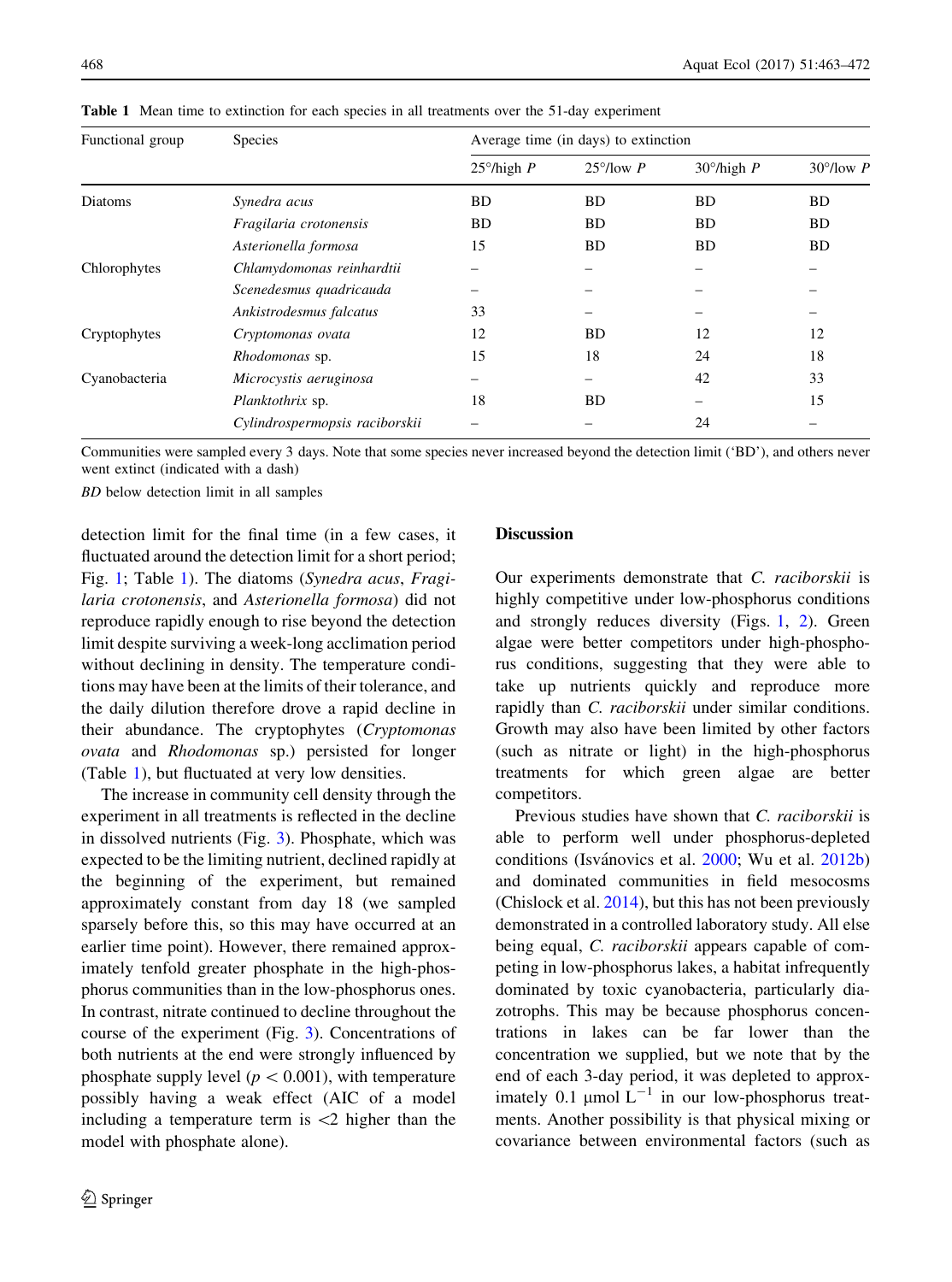| Functional group | <b>Species</b>                 | Average time (in days) to extinction |                    |                      |                    |
|------------------|--------------------------------|--------------------------------------|--------------------|----------------------|--------------------|
|                  |                                | $25^{\circ}/\text{high } P$          | $25^{\circ}/low P$ | $30^{\circ}/$ high P | $30^{\circ}/low$ P |
| Diatoms          | Synedra acus                   | <b>BD</b>                            | <b>BD</b>          | <b>BD</b>            | <b>BD</b>          |
|                  | Fragilaria crotonensis         | <b>BD</b>                            | <b>BD</b>          | <b>BD</b>            | <b>BD</b>          |
|                  | Asterionella formosa           | 15                                   | <b>BD</b>          | <b>BD</b>            | <b>BD</b>          |
| Chlorophytes     | Chlamydomonas reinhardtii      |                                      |                    |                      |                    |
|                  | Scenedesmus quadricauda        |                                      |                    |                      |                    |
|                  | Ankistrodesmus falcatus        | 33                                   |                    |                      |                    |
| Cryptophytes     | Cryptomonas ovata              | 12                                   | <b>BD</b>          | 12                   | 12                 |
|                  | Rhodomonas sp.                 | 15                                   | 18                 | 24                   | 18                 |
| Cyanobacteria    | Microcystis aeruginosa         |                                      |                    | 42                   | 33                 |
|                  | Planktothrix sp.               | 18                                   | <b>BD</b>          |                      | 15                 |
|                  | Cylindrospermopsis raciborskii |                                      |                    | 24                   |                    |

<span id="page-5-0"></span>Table 1 Mean time to extinction for each species in all treatments over the 51-day experiment

Communities were sampled every 3 days. Note that some species never increased beyond the detection limit ('BD'), and others never went extinct (indicated with a dash)

BD below detection limit in all samples

detection limit for the final time (in a few cases, it fluctuated around the detection limit for a short period; Fig. [1;](#page-4-0) Table 1). The diatoms (Synedra acus, Fragilaria crotonensis, and Asterionella formosa) did not reproduce rapidly enough to rise beyond the detection limit despite surviving a week-long acclimation period without declining in density. The temperature conditions may have been at the limits of their tolerance, and the daily dilution therefore drove a rapid decline in their abundance. The cryptophytes (Cryptomonas ovata and Rhodomonas sp.) persisted for longer (Table 1), but fluctuated at very low densities.

The increase in community cell density through the experiment in all treatments is reflected in the decline in dissolved nutrients (Fig. [3\)](#page-6-0). Phosphate, which was expected to be the limiting nutrient, declined rapidly at the beginning of the experiment, but remained approximately constant from day 18 (we sampled sparsely before this, so this may have occurred at an earlier time point). However, there remained approximately tenfold greater phosphate in the high-phosphorus communities than in the low-phosphorus ones. In contrast, nitrate continued to decline throughout the course of the experiment (Fig. [3](#page-6-0)). Concentrations of both nutrients at the end were strongly influenced by phosphate supply level ( $p<0.001$ ), with temperature possibly having a weak effect (AIC of a model including a temperature term is  $\langle 2 \rangle$  higher than the model with phosphate alone).

# **Discussion**

Our experiments demonstrate that C. raciborskii is highly competitive under low-phosphorus conditions and strongly reduces diversity (Figs. [1](#page-4-0), [2](#page-4-0)). Green algae were better competitors under high-phosphorus conditions, suggesting that they were able to take up nutrients quickly and reproduce more rapidly than C. raciborskii under similar conditions. Growth may also have been limited by other factors (such as nitrate or light) in the high-phosphorus treatments for which green algae are better competitors.

Previous studies have shown that C. raciborskii is able to perform well under phosphorus-depleted conditions (Isvánovics et al. [2000;](#page-8-0) Wu et al. [2012b\)](#page-9-0) and dominated communities in field mesocosms (Chislock et al. [2014](#page-8-0)), but this has not been previously demonstrated in a controlled laboratory study. All else being equal, *C. raciborskii* appears capable of competing in low-phosphorus lakes, a habitat infrequently dominated by toxic cyanobacteria, particularly diazotrophs. This may be because phosphorus concentrations in lakes can be far lower than the concentration we supplied, but we note that by the end of each 3-day period, it was depleted to approximately 0.1  $\mu$ mol L<sup>-1</sup> in our low-phosphorus treatments. Another possibility is that physical mixing or covariance between environmental factors (such as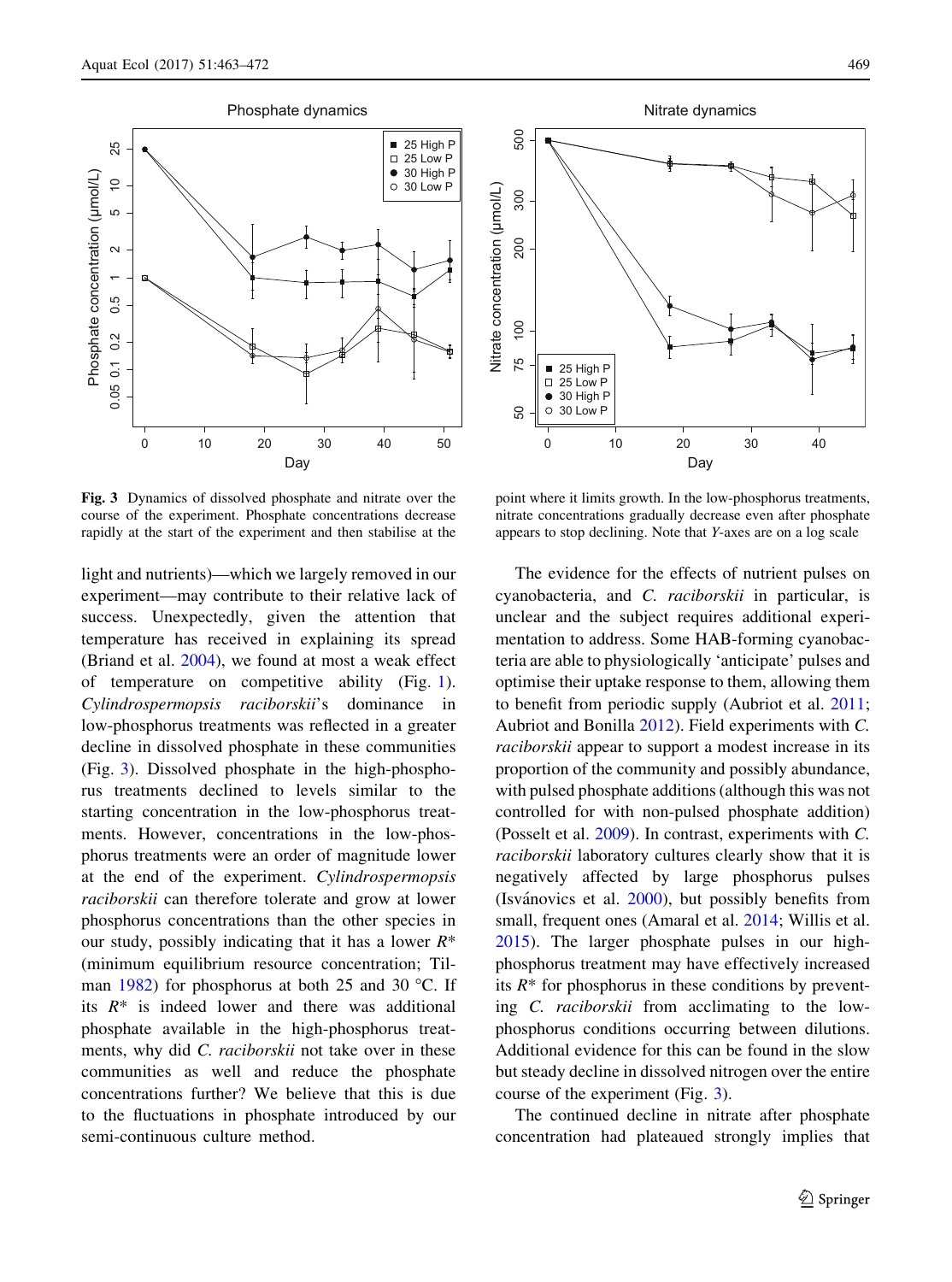<span id="page-6-0"></span>

Fig. 3 Dynamics of dissolved phosphate and nitrate over the course of the experiment. Phosphate concentrations decrease rapidly at the start of the experiment and then stabilise at the

light and nutrients)—which we largely removed in our experiment—may contribute to their relative lack of success. Unexpectedly, given the attention that temperature has received in explaining its spread (Briand et al. [2004\)](#page-8-0), we found at most a weak effect of temperature on competitive ability (Fig. [1](#page-4-0)). Cylindrospermopsis raciborskii's dominance in low-phosphorus treatments was reflected in a greater decline in dissolved phosphate in these communities (Fig. 3). Dissolved phosphate in the high-phosphorus treatments declined to levels similar to the starting concentration in the low-phosphorus treatments. However, concentrations in the low-phosphorus treatments were an order of magnitude lower at the end of the experiment. Cylindrospermopsis raciborskii can therefore tolerate and grow at lower phosphorus concentrations than the other species in our study, possibly indicating that it has a lower  $R^*$ (minimum equilibrium resource concentration; Til-man [1982\)](#page-9-0) for phosphorus at both 25 and 30  $^{\circ}$ C. If its  $R^*$  is indeed lower and there was additional phosphate available in the high-phosphorus treatments, why did *C. raciborskii* not take over in these communities as well and reduce the phosphate concentrations further? We believe that this is due to the fluctuations in phosphate introduced by our semi-continuous culture method.



point where it limits growth. In the low-phosphorus treatments, nitrate concentrations gradually decrease even after phosphate appears to stop declining. Note that Y-axes are on a log scale

The evidence for the effects of nutrient pulses on cyanobacteria, and C. raciborskii in particular, is unclear and the subject requires additional experimentation to address. Some HAB-forming cyanobacteria are able to physiologically 'anticipate' pulses and optimise their uptake response to them, allowing them to benefit from periodic supply (Aubriot et al. [2011](#page-7-0); Aubriot and Bonilla [2012\)](#page-7-0). Field experiments with C. raciborskii appear to support a modest increase in its proportion of the community and possibly abundance, with pulsed phosphate additions (although this was not controlled for with non-pulsed phosphate addition) (Posselt et al. [2009\)](#page-8-0). In contrast, experiments with C. raciborskii laboratory cultures clearly show that it is negatively affected by large phosphorus pulses (Isvánovics et al.  $2000$ ), but possibly benefits from small, frequent ones (Amaral et al. [2014;](#page-7-0) Willis et al. [2015\)](#page-9-0). The larger phosphate pulses in our highphosphorus treatment may have effectively increased its  $R^*$  for phosphorus in these conditions by preventing C. raciborskii from acclimating to the lowphosphorus conditions occurring between dilutions. Additional evidence for this can be found in the slow but steady decline in dissolved nitrogen over the entire course of the experiment (Fig. 3).

The continued decline in nitrate after phosphate concentration had plateaued strongly implies that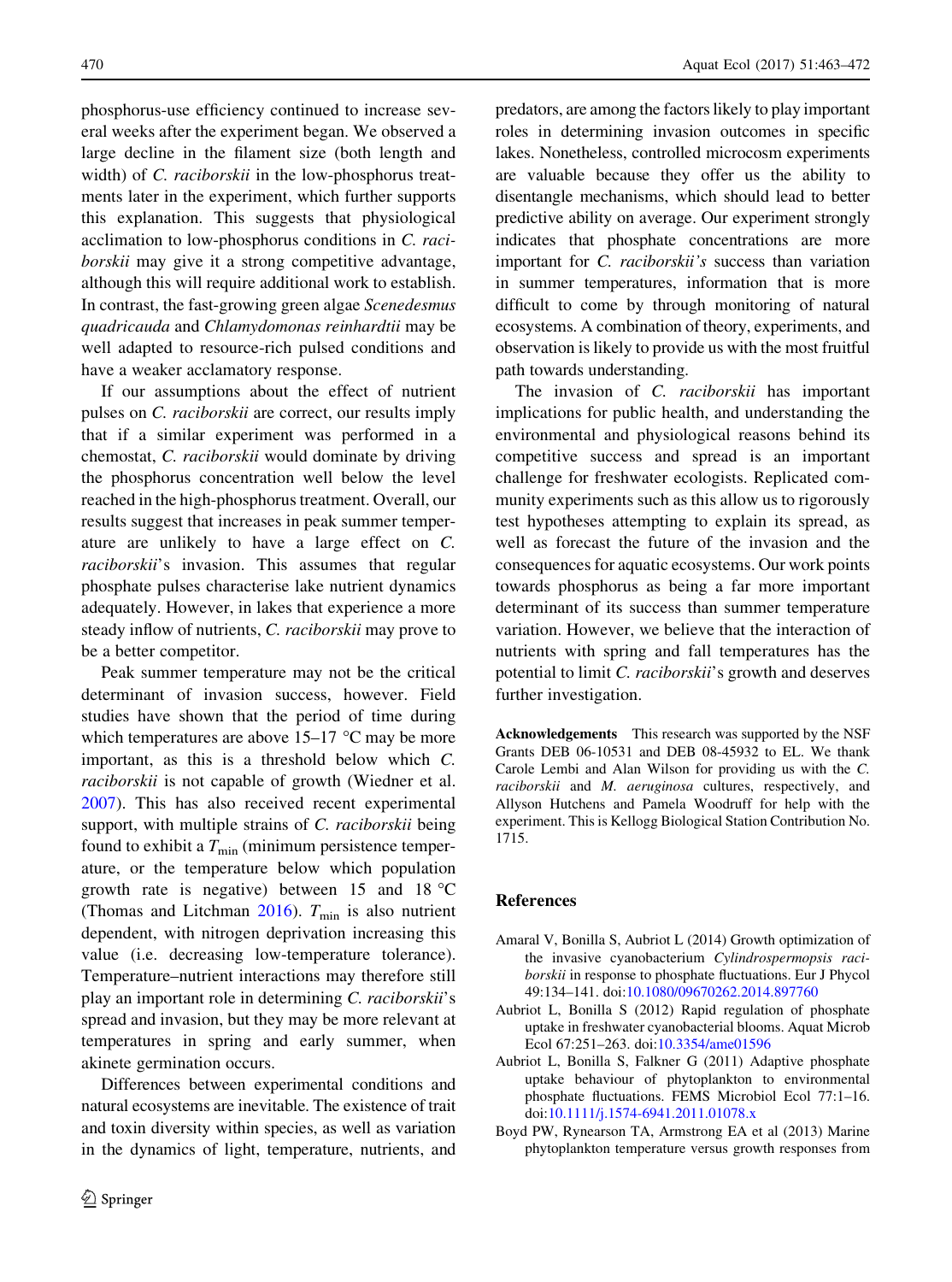<span id="page-7-0"></span>phosphorus-use efficiency continued to increase several weeks after the experiment began. We observed a large decline in the filament size (both length and width) of *C. raciborskii* in the low-phosphorus treatments later in the experiment, which further supports this explanation. This suggests that physiological acclimation to low-phosphorus conditions in C. raciborskii may give it a strong competitive advantage, although this will require additional work to establish. In contrast, the fast-growing green algae Scenedesmus quadricauda and Chlamydomonas reinhardtii may be well adapted to resource-rich pulsed conditions and have a weaker acclamatory response.

If our assumptions about the effect of nutrient pulses on C. raciborskii are correct, our results imply that if a similar experiment was performed in a chemostat, C. raciborskii would dominate by driving the phosphorus concentration well below the level reached in the high-phosphorus treatment. Overall, our results suggest that increases in peak summer temperature are unlikely to have a large effect on C. raciborskii's invasion. This assumes that regular phosphate pulses characterise lake nutrient dynamics adequately. However, in lakes that experience a more steady inflow of nutrients, C. raciborskii may prove to be a better competitor.

Peak summer temperature may not be the critical determinant of invasion success, however. Field studies have shown that the period of time during which temperatures are above  $15-17$  °C may be more important, as this is a threshold below which C. raciborskii is not capable of growth (Wiedner et al. [2007\)](#page-9-0). This has also received recent experimental support, with multiple strains of C. raciborskii being found to exhibit a  $T_{\text{min}}$  (minimum persistence temperature, or the temperature below which population growth rate is negative) between 15 and 18  $^{\circ}$ C (Thomas and Litchman [2016](#page-9-0)).  $T_{\text{min}}$  is also nutrient dependent, with nitrogen deprivation increasing this value (i.e. decreasing low-temperature tolerance). Temperature–nutrient interactions may therefore still play an important role in determining C. raciborskii's spread and invasion, but they may be more relevant at temperatures in spring and early summer, when akinete germination occurs.

Differences between experimental conditions and natural ecosystems are inevitable. The existence of trait and toxin diversity within species, as well as variation in the dynamics of light, temperature, nutrients, and

predators, are among the factors likely to play important roles in determining invasion outcomes in specific lakes. Nonetheless, controlled microcosm experiments are valuable because they offer us the ability to disentangle mechanisms, which should lead to better predictive ability on average. Our experiment strongly indicates that phosphate concentrations are more important for *C. raciborskii's* success than variation in summer temperatures, information that is more difficult to come by through monitoring of natural ecosystems. A combination of theory, experiments, and observation is likely to provide us with the most fruitful path towards understanding.

The invasion of C. raciborskii has important implications for public health, and understanding the environmental and physiological reasons behind its competitive success and spread is an important challenge for freshwater ecologists. Replicated community experiments such as this allow us to rigorously test hypotheses attempting to explain its spread, as well as forecast the future of the invasion and the consequences for aquatic ecosystems. Our work points towards phosphorus as being a far more important determinant of its success than summer temperature variation. However, we believe that the interaction of nutrients with spring and fall temperatures has the potential to limit C. raciborskii's growth and deserves further investigation.

Acknowledgements This research was supported by the NSF Grants DEB 06-10531 and DEB 08-45932 to EL. We thank Carole Lembi and Alan Wilson for providing us with the C. raciborskii and M. aeruginosa cultures, respectively, and Allyson Hutchens and Pamela Woodruff for help with the experiment. This is Kellogg Biological Station Contribution No. 1715.

## References

- Amaral V, Bonilla S, Aubriot L (2014) Growth optimization of the invasive cyanobacterium Cylindrospermopsis raciborskii in response to phosphate fluctuations. Eur J Phycol 49:134–141. doi[:10.1080/09670262.2014.897760](http://dx.doi.org/10.1080/09670262.2014.897760)
- Aubriot L, Bonilla S (2012) Rapid regulation of phosphate uptake in freshwater cyanobacterial blooms. Aquat Microb Ecol 67:251–263. doi[:10.3354/ame01596](http://dx.doi.org/10.3354/ame01596)
- Aubriot L, Bonilla S, Falkner G (2011) Adaptive phosphate uptake behaviour of phytoplankton to environmental phosphate fluctuations. FEMS Microbiol Ecol 77:1–16. doi[:10.1111/j.1574-6941.2011.01078.x](http://dx.doi.org/10.1111/j.1574-6941.2011.01078.x)
- Boyd PW, Rynearson TA, Armstrong EA et al (2013) Marine phytoplankton temperature versus growth responses from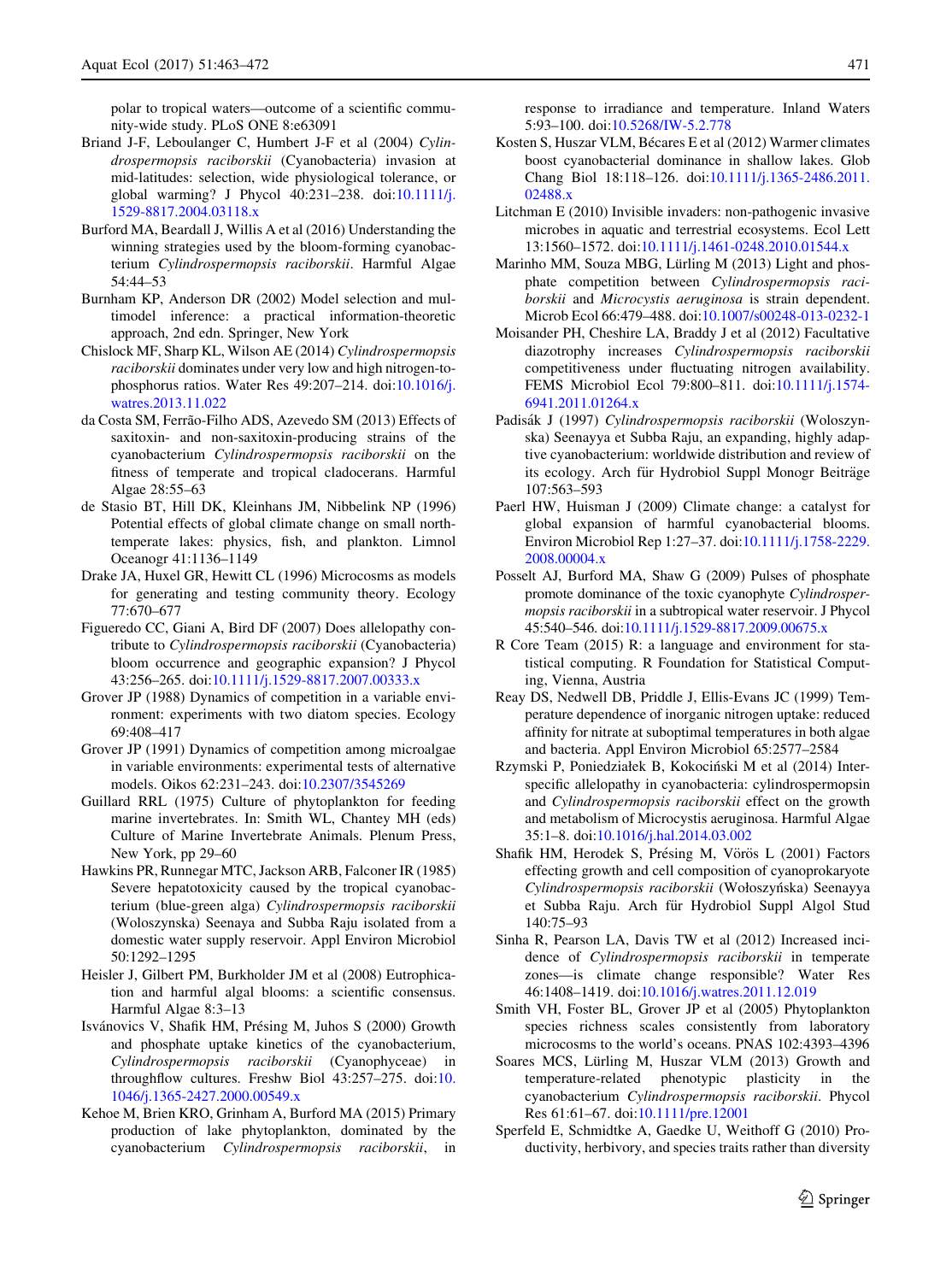<span id="page-8-0"></span>polar to tropical waters—outcome of a scientific community-wide study. PLoS ONE 8:e63091

- Briand J-F, Leboulanger C, Humbert J-F et al (2004) Cylindrospermopsis raciborskii (Cyanobacteria) invasion at mid-latitudes: selection, wide physiological tolerance, or global warming? J Phycol 40:231–238. doi:[10.1111/j.](http://dx.doi.org/10.1111/j.1529-8817.2004.03118.x) [1529-8817.2004.03118.x](http://dx.doi.org/10.1111/j.1529-8817.2004.03118.x)
- Burford MA, Beardall J, Willis A et al (2016) Understanding the winning strategies used by the bloom-forming cyanobacterium Cylindrospermopsis raciborskii. Harmful Algae 54:44–53
- Burnham KP, Anderson DR (2002) Model selection and multimodel inference: a practical information-theoretic approach, 2nd edn. Springer, New York
- Chislock MF, Sharp KL, Wilson AE (2014) Cylindrospermopsis raciborskii dominates under very low and high nitrogen-tophosphorus ratios. Water Res 49:207–214. doi:[10.1016/j.](http://dx.doi.org/10.1016/j.watres.2013.11.022) [watres.2013.11.022](http://dx.doi.org/10.1016/j.watres.2013.11.022)
- da Costa SM, Ferrão-Filho ADS, Azevedo SM (2013) Effects of saxitoxin- and non-saxitoxin-producing strains of the cyanobacterium Cylindrospermopsis raciborskii on the fitness of temperate and tropical cladocerans. Harmful Algae 28:55–63
- de Stasio BT, Hill DK, Kleinhans JM, Nibbelink NP (1996) Potential effects of global climate change on small northtemperate lakes: physics, fish, and plankton. Limnol Oceanogr 41:1136–1149
- Drake JA, Huxel GR, Hewitt CL (1996) Microcosms as models for generating and testing community theory. Ecology 77:670–677
- Figueredo CC, Giani A, Bird DF (2007) Does allelopathy contribute to Cylindrospermopsis raciborskii (Cyanobacteria) bloom occurrence and geographic expansion? J Phycol 43:256–265. doi:[10.1111/j.1529-8817.2007.00333.x](http://dx.doi.org/10.1111/j.1529-8817.2007.00333.x)
- Grover JP (1988) Dynamics of competition in a variable environment: experiments with two diatom species. Ecology 69:408–417
- Grover JP (1991) Dynamics of competition among microalgae in variable environments: experimental tests of alternative models. Oikos 62:231–243. doi:[10.2307/3545269](http://dx.doi.org/10.2307/3545269)
- Guillard RRL (1975) Culture of phytoplankton for feeding marine invertebrates. In: Smith WL, Chantey MH (eds) Culture of Marine Invertebrate Animals. Plenum Press, New York, pp 29–60
- Hawkins PR, Runnegar MTC, Jackson ARB, Falconer IR (1985) Severe hepatotoxicity caused by the tropical cyanobacterium (blue-green alga) Cylindrospermopsis raciborskii (Woloszynska) Seenaya and Subba Raju isolated from a domestic water supply reservoir. Appl Environ Microbiol 50:1292–1295
- Heisler J, Gilbert PM, Burkholder JM et al (2008) Eutrophication and harmful algal blooms: a scientific consensus. Harmful Algae 8:3–13
- Isvánovics V, Shafik HM, Présing M, Juhos S (2000) Growth and phosphate uptake kinetics of the cyanobacterium, Cylindrospermopsis raciborskii (Cyanophyceae) in throughflow cultures. Freshw Biol 43:257–275. doi:[10.](http://dx.doi.org/10.1046/j.1365-2427.2000.00549.x) [1046/j.1365-2427.2000.00549.x](http://dx.doi.org/10.1046/j.1365-2427.2000.00549.x)
- Kehoe M, Brien KRO, Grinham A, Burford MA (2015) Primary production of lake phytoplankton, dominated by the cyanobacterium Cylindrospermopsis raciborskii, in

response to irradiance and temperature. Inland Waters 5:93–100. doi:[10.5268/IW-5.2.778](http://dx.doi.org/10.5268/IW-5.2.778)

- Kosten S, Huszar VLM, Bécares E et al (2012) Warmer climates boost cyanobacterial dominance in shallow lakes. Glob Chang Biol 18:118–126. doi[:10.1111/j.1365-2486.2011.](http://dx.doi.org/10.1111/j.1365-2486.2011.02488.x) [02488.x](http://dx.doi.org/10.1111/j.1365-2486.2011.02488.x)
- Litchman E (2010) Invisible invaders: non-pathogenic invasive microbes in aquatic and terrestrial ecosystems. Ecol Lett 13:1560–1572. doi:[10.1111/j.1461-0248.2010.01544.x](http://dx.doi.org/10.1111/j.1461-0248.2010.01544.x)
- Marinho MM, Souza MBG, Lürling M (2013) Light and phosphate competition between Cylindrospermopsis raciborskii and Microcystis aeruginosa is strain dependent. Microb Ecol 66:479–488. doi:[10.1007/s00248-013-0232-1](http://dx.doi.org/10.1007/s00248-013-0232-1)
- Moisander PH, Cheshire LA, Braddy J et al (2012) Facultative diazotrophy increases Cylindrospermopsis raciborskii competitiveness under fluctuating nitrogen availability. FEMS Microbiol Ecol 79:800–811. doi[:10.1111/j.1574-](http://dx.doi.org/10.1111/j.1574-6941.2011.01264.x) [6941.2011.01264.x](http://dx.doi.org/10.1111/j.1574-6941.2011.01264.x)
- Padisák J (1997) Cylindrospermopsis raciborskii (Woloszynska) Seenayya et Subba Raju, an expanding, highly adaptive cyanobacterium: worldwide distribution and review of its ecology. Arch für Hydrobiol Suppl Monogr Beiträge 107:563–593
- Paerl HW, Huisman J (2009) Climate change: a catalyst for global expansion of harmful cyanobacterial blooms. Environ Microbiol Rep 1:27–37. doi[:10.1111/j.1758-2229.](http://dx.doi.org/10.1111/j.1758-2229.2008.00004.x) [2008.00004.x](http://dx.doi.org/10.1111/j.1758-2229.2008.00004.x)
- Posselt AJ, Burford MA, Shaw G (2009) Pulses of phosphate promote dominance of the toxic cyanophyte Cylindrospermopsis raciborskii in a subtropical water reservoir. J Phycol 45:540–546. doi:[10.1111/j.1529-8817.2009.00675.x](http://dx.doi.org/10.1111/j.1529-8817.2009.00675.x)
- R Core Team (2015) R: a language and environment for statistical computing. R Foundation for Statistical Computing, Vienna, Austria
- Reay DS, Nedwell DB, Priddle J, Ellis-Evans JC (1999) Temperature dependence of inorganic nitrogen uptake: reduced affinity for nitrate at suboptimal temperatures in both algae and bacteria. Appl Environ Microbiol 65:2577–2584
- Rzymski P, Poniedziałek B, Kokociński M et al (2014) Interspecific allelopathy in cyanobacteria: cylindrospermopsin and Cylindrospermopsis raciborskii effect on the growth and metabolism of Microcystis aeruginosa. Harmful Algae 35:1–8. doi[:10.1016/j.hal.2014.03.002](http://dx.doi.org/10.1016/j.hal.2014.03.002)
- Shafik HM, Herodek S, Présing M, Vörös L (2001) Factors effecting growth and cell composition of cyanoprokaryote Cylindrospermopsis raciborskii (Wołoszyńska) Seenayya et Subba Raju. Arch für Hydrobiol Suppl Algol Stud 140:75–93
- Sinha R, Pearson LA, Davis TW et al (2012) Increased incidence of Cylindrospermopsis raciborskii in temperate zones—is climate change responsible? Water Res 46:1408–1419. doi:[10.1016/j.watres.2011.12.019](http://dx.doi.org/10.1016/j.watres.2011.12.019)
- Smith VH, Foster BL, Grover JP et al (2005) Phytoplankton species richness scales consistently from laboratory microcosms to the world's oceans. PNAS 102:4393–4396
- Soares MCS, Lürling M, Huszar VLM (2013) Growth and temperature-related phenotypic plasticity in the cyanobacterium Cylindrospermopsis raciborskii. Phycol Res 61:61–67. doi:[10.1111/pre.12001](http://dx.doi.org/10.1111/pre.12001)
- Sperfeld E, Schmidtke A, Gaedke U, Weithoff G (2010) Productivity, herbivory, and species traits rather than diversity